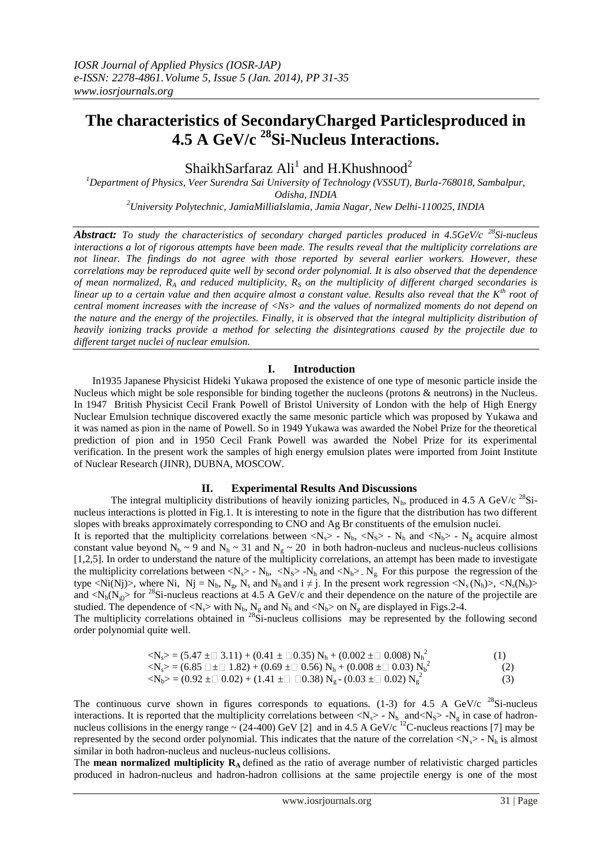# **The characteristics of SecondaryCharged Particlesproduced in 4.5 A GeV/c <sup>28</sup>Si-Nucleus Interactions.**

ShaikhSarfaraz  $\text{Ali}^1$  and H.Khushnood<sup>2</sup>

*<sup>1</sup>Department of Physics, Veer Surendra Sai University of Technology (VSSUT), Burla-768018, Sambalpur, Odisha, INDIA <sup>2</sup>University Polytechnic, JamiaMilliaIslamia, Jamia Nagar, New Delhi-110025, INDIA*

*Abstract: To study the characteristics of secondary charged particles produced in 4.5GeV/c <sup>28</sup>Si-nucleus interactions a lot of rigorous attempts have been made. The results reveal that the multiplicity correlations are not linear. The findings do not agree with those reported by several earlier workers. However, these correlations may be reproduced quite well by second order polynomial. It is also observed that the dependence of mean normalized, R<sup>A</sup> and reduced multiplicity, R<sup>S</sup> on the multiplicity of different charged secondaries is linear up to a certain value and then acquire almost a constant value. Results also reveal that the Kth root of central moment increases with the increase of <Ns> and the values of normalized moments do not depend on the nature and the energy of the projectiles. Finally, it is observed that the integral multiplicity distribution of heavily ionizing tracks provide a method for selecting the disintegrations caused by the projectile due to different target nuclei of nuclear emulsion.*

## **I. Introduction**

In1935 Japanese Physicist Hideki Yukawa proposed the existence of one type of mesonic particle inside the Nucleus which might be sole responsible for binding together the nucleons (protons & neutrons) in the Nucleus. In 1947 British Physicist Cecil Frank Powell of Bristol University of London with the help of High Energy Nuclear Emulsion technique discovered exactly the same mesonic particle which was proposed by Yukawa and it was named as pion in the name of Powell. So in 1949 Yukawa was awarded the Nobel Prize for the theoretical prediction of pion and in 1950 Cecil Frank Powell was awarded the Nobel Prize for its experimental verification. In the present work the samples of high energy emulsion plates were imported from Joint Institute of Nuclear Research (JINR), DUBNA, MOSCOW.

## **II. Experimental Results And Discussions**

The integral multiplicity distributions of heavily ionizing particles,  $N_h$ , produced in 4.5 A GeV/c <sup>28</sup>Sinucleus interactions is plotted in Fig.1. It is interesting to note in the figure that the distribution has two different slopes with breaks approximately corresponding to CNO and Ag Br constituents of the emulsion nuclei.

It is reported that the multiplicity correlations between  $\langle N_{s} \rangle$  - N<sub>b</sub>,  $\langle N_{s} \rangle$  - N<sub>b</sub> and  $\langle N_{h} \rangle$  - N<sub>g</sub> acquire almost constant value beyond N<sub>b</sub> ~ 9 and N<sub>h</sub> ~ 31 and N<sub>g</sub> ~ 20 in both hadron-nucleus and nucleus-nucleus collisions [1,2,5]. In order to understand the nature of the multiplicity correlations, an attempt has been made to investigate the multiplicity correlations between  $\langle N_s \rangle$  -  $N_b$ ,  $\langle N_s \rangle$  -  $N_h$  and  $\langle N_b \rangle$ .  $N_g$ . For this purpose the regression of the type <Ni(Nj)>, where Ni, Nj = N<sub>b</sub>, N<sub>s</sub>, N<sub>s</sub> and N<sub>h</sub> and i  $\neq$  j. In the present work regression <N<sub>s</sub>(N<sub>b</sub>)>, <N<sub>s</sub>(N<sub>b</sub>)> and  $\langle N_b(N_g) \rangle$  for <sup>28</sup>Si-nucleus reactions at 4.5 A GeV/c and their dependence on the nature of the projectile are studied. The dependence of  $\langle N_s \rangle$  with  $N_b$ ,  $N_g$  and  $N_h$  and  $\langle N_b \rangle$  on  $N_g$  are displayed in Figs.2-4.

The multiplicity correlations obtained in  $^{28}$ Si-nucleus collisions may be represented by the following second order polynomial quite well.

| $\langle N_s \rangle = (5.47 \pm 0.3.11) + (0.41 \pm 0.35) N_h + (0.002 \pm 0.008) N_h^2$                                               | (1) |
|-----------------------------------------------------------------------------------------------------------------------------------------|-----|
| $\langle N_s \rangle = (6.85 \Box \pm \Box 1.82) + (0.69 \pm \Box 0.56) N_b + (0.008 \pm \Box 0.03) N_b^2$                              | (2) |
| $\langle N_{\rm b} \rangle$ = (0.92 $\pm \Box$ 0.02) + (1.41 $\pm \Box$ $\Box$ 0.38) $N_{\rm g}$ = (0.03 $\pm \Box$ 0.02) $N_{\rm g}^2$ | (3) |

The continuous curve shown in figures corresponds to equations. (1-3) for 4.5 A GeV/c  $^{28}$ Si-nucleus interactions. It is reported that the multiplicity correlations between  $\langle N_s \rangle$  -  $N_h$  and  $\langle N_s \rangle$  -  $N_g$  in case of hadronnucleus collisions in the energy range  $\sim$  (24-400) GeV [2] and in 4.5 A GeV/c <sup>12</sup>C-nucleus reactions [7] may be represented by the second order polynomial. This indicates that the nature of the correlation  $\langle N_s \rangle$  -  $N_h$  is almost similar in both hadron-nucleus and nucleus-nucleus collisions.

The **mean normalized multiplicity R<sup>A</sup>** defined as the ratio of average number of relativistic charged particles produced in hadron-nucleus and hadron-hadron collisions at the same projectile energy is one of the most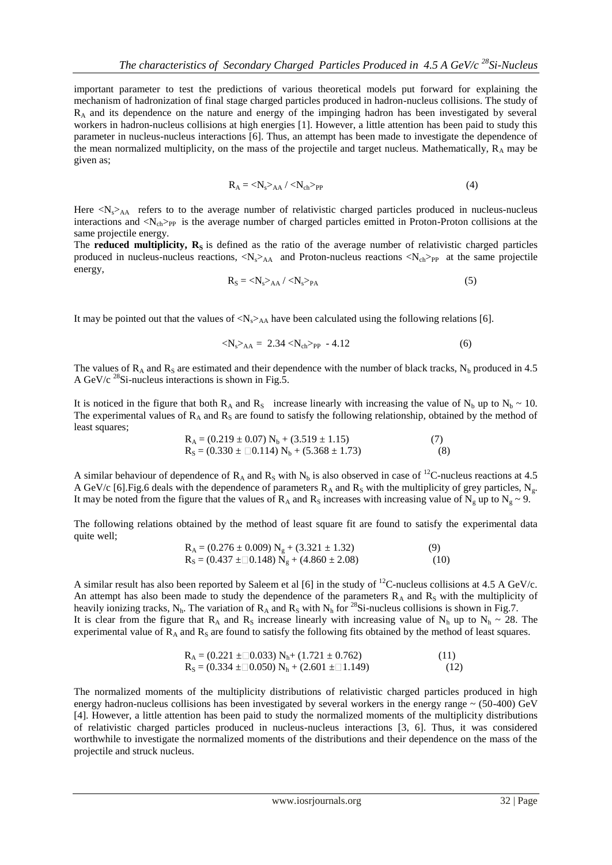important parameter to test the predictions of various theoretical models put forward for explaining the mechanism of hadronization of final stage charged particles produced in hadron-nucleus collisions. The study of  $R_A$  and its dependence on the nature and energy of the impinging hadron has been investigated by several workers in hadron-nucleus collisions at high energies [1]. However, a little attention has been paid to study this parameter in nucleus-nucleus interactions [6]. Thus, an attempt has been made to investigate the dependence of the mean normalized multiplicity, on the mass of the projectile and target nucleus. Mathematically,  $R_A$  may be given as;

$$
R_A = \langle N_s \rangle_{AA} / \langle N_{ch} \rangle_{PP}
$$
 (4)

Here  $\langle N_s \rangle$ <sub>AA</sub> refers to to the average number of relativistic charged particles produced in nucleus-nucleus interactions and  $\langle N_{ch} \rangle_{PP}$  is the average number of charged particles emitted in Proton-Proton collisions at the same projectile energy.

The **reduced multiplicity,**  $R_s$  is defined as the ratio of the average number of relativistic charged particles produced in nucleus-nucleus reactions,  $\langle N_s \rangle_{AA}$  and Proton-nucleus reactions  $\langle N_{ch} \rangle_{PP}$  at the same projectile energy,

$$
R_S = \langle N_s \rangle_{AA} / \langle N_s \rangle_{PA}
$$
 (5)

It may be pointed out that the values of  $\langle N_s \rangle$ AA have been calculated using the following relations [6].

$$
\langle N_s \rangle_{AA} = 2.34 \langle N_{ch} \rangle_{PP} - 4.12 \tag{6}
$$

The values of  $R_A$  and  $R_S$  are estimated and their dependence with the number of black tracks,  $N_b$  produced in 4.5 A GeV/c  $^{28}$ Si-nucleus interactions is shown in Fig.5.

It is noticed in the figure that both R<sub>A</sub> and R<sub>S</sub> increase linearly with increasing the value of N<sub>b</sub> up to N<sub>b</sub> ~ 10. The experimental values of  $R_A$  and  $R_S$  are found to satisfy the following relationship, obtained by the method of least squares;

$$
R_A = (0.219 \pm 0.07) N_b + (3.519 \pm 1.15)
$$
  
\n
$$
R_S = (0.330 \pm \square 0.114) N_b + (5.368 \pm 1.73)
$$
\n(7)

A similar behaviour of dependence of  $R_A$  and  $R_S$  with N<sub>b</sub> is also observed in case of <sup>12</sup>C-nucleus reactions at 4.5 A GeV/c [6]. Fig.6 deals with the dependence of parameters  $R_A$  and  $R_S$  with the multiplicity of grey particles, N<sub>g</sub>. It may be noted from the figure that the values of  $R_A$  and  $R_S$  increases with increasing value of  $N_g$  up to  $N_g \sim 9$ .

The following relations obtained by the method of least square fit are found to satisfy the experimental data quite well;

$$
R_A = (0.276 \pm 0.009) N_g + (3.321 \pm 1.32)
$$
  
\n
$$
R_S = (0.437 \pm 0.148) N_g + (4.860 \pm 2.08)
$$
\n(9)

A similar result has also been reported by Saleem et al [6] in the study of  $^{12}$ C-nucleus collisions at 4.5 A GeV/c. An attempt has also been made to study the dependence of the parameters  $R_A$  and  $R_S$  with the multiplicity of heavily ionizing tracks, N<sub>h</sub>. The variation of R<sub>A</sub> and R<sub>S</sub> with N<sub>h</sub> for <sup>28</sup>Si-nucleus collisions is shown in Fig.7. It is clear from the figure that  $R_A$  and  $R_S$  increase linearly with increasing value of  $N_h$  up to  $N_h \sim 28$ . The experimental value of  $R_A$  and  $R_S$  are found to satisfy the following fits obtained by the method of least squares.

$$
R_A = (0.221 \pm 0.033) N_h + (1.721 \pm 0.762)
$$
  
\n
$$
R_S = (0.334 \pm 0.050) N_h + (2.601 \pm 0.149)
$$
\n(12)

The normalized moments of the multiplicity distributions of relativistic charged particles produced in high energy hadron-nucleus collisions has been investigated by several workers in the energy range  $\sim$  (50-400) GeV [4]. However, a little attention has been paid to study the normalized moments of the multiplicity distributions of relativistic charged particles produced in nucleus-nucleus interactions [3, 6]. Thus, it was considered worthwhile to investigate the normalized moments of the distributions and their dependence on the mass of the projectile and struck nucleus.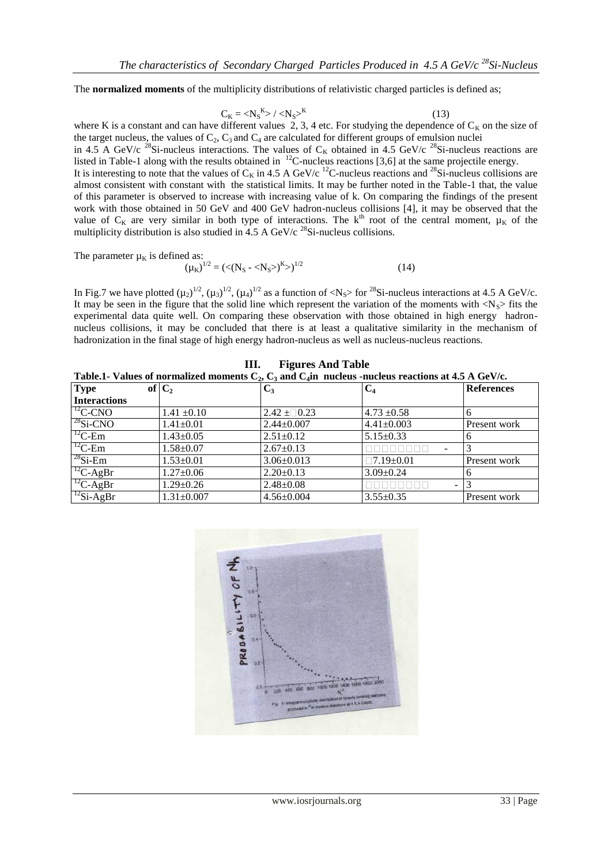The **normalized moments** of the multiplicity distributions of relativistic charged particles is defined as;

$$
C_K = \langle N_S^K \rangle / \langle N_S \rangle^K \tag{13}
$$

where K is a constant and can have different values 2, 3, 4 etc. For studying the dependence of  $C_K$  on the size of the target nucleus, the values of  $C_2$ ,  $C_3$  and  $C_4$  are calculated for different groups of emulsion nuclei

in 4.5 A GeV/c <sup>28</sup>Si-nucleus interactions. The values of C<sub>K</sub> obtained in 4.5 GeV/c <sup>28</sup>Si-nucleus reactions are listed in Table-1 along with the results obtained in  $^{12}$ C-nucleus reactions [3,6] at the same projectile energy.

It is interesting to note that the values of  $C_K$  in 4.5 A GeV/c <sup>12</sup>C-nucleus reactions and <sup>28</sup>Si-nucleus collisions are almost consistent with constant with the statistical limits. It may be further noted in the Table-1 that, the value of this parameter is observed to increase with increasing value of k. On comparing the findings of the present work with those obtained in 50 GeV and 400 GeV hadron-nucleus collisions [4], it may be observed that the value of  $C_K$  are very similar in both type of interactions. The k<sup>th</sup> root of the central moment,  $\mu_K$  of the multiplicity distribution is also studied in  $4.5$  A GeV/c <sup>28</sup>Si-nucleus collisions.

The parameter  $\mu_K$  is defined as:

The parameter 
$$
\mu_K
$$
 is defined as.  
\n
$$
(\mu_K)^{1/2} = (\langle (N_S - \langle N_S \rangle)^K \rangle)^{1/2}
$$
\n(14)

In Fig.7 we have plotted  $(\mu_2)^{1/2}$ ,  $(\mu_3)^{1/2}$ ,  $(\mu_4)^{1/2}$  as a function of <N<sub>S</sub>> for <sup>28</sup>Si-nucleus interactions at 4.5 A GeV/c. It may be seen in the figure that the solid line which represent the variation of the moments with  $\langle N_s \rangle$  fits the experimental data quite well. On comparing these observation with those obtained in high energy hadronnucleus collisions, it may be concluded that there is at least a qualitative similarity in the mechanism of hadronization in the final stage of high energy hadron-nucleus as well as nucleus-nucleus reactions.

| Table.1- Values of normalized moments $C_2$ , $C_3$ and $C_4$ in nucleus -nucleus reactions at 4.5 A GeV/c. |                  |                  |                          |                   |
|-------------------------------------------------------------------------------------------------------------|------------------|------------------|--------------------------|-------------------|
| <b>Type</b>                                                                                                 | of $C_2$         | $C_3$            | $\mathbf{C}_4$           | <b>References</b> |
| <b>Interactions</b>                                                                                         |                  |                  |                          |                   |
| $T^2$ C-CNO                                                                                                 | $1.41 \pm 0.10$  | $2.42 \pm 0.23$  | $4.73 \pm 0.58$          | 6                 |
| $^{28}$ Si-CNO                                                                                              | $1.41 \pm 0.01$  | $2.44 \pm 0.007$ | $4.41 \pm 0.003$         | Present work      |
| $^{12}C$ -Em                                                                                                | $1.43 \pm 0.05$  | $2.51 \pm 0.12$  | $5.15 \pm 0.33$          | 6                 |
| $T^2C$ -Em                                                                                                  | $1.58 \pm 0.07$  | $2.67 \pm 0.13$  |                          |                   |
| $^{28}$ Si-Em                                                                                               | $1.53 \pm 0.01$  | $3.06 \pm 0.013$ | $\Box 7.19 \pm 0.01$     | Present work      |
| ${}^{12}C$ -AgBr                                                                                            | $1.27 \pm 0.06$  | $2.20 \pm 0.13$  | $3.09 \pm 0.24$          | 6                 |
| $^{12}C$ -AgBr                                                                                              | $1.29 \pm 0.26$  | $2.48 \pm 0.08$  | $\overline{\phantom{a}}$ |                   |
| $\frac{12}{12}$ Si-AgBr                                                                                     | $1.31 \pm 0.007$ | $4.56 \pm 0.004$ | $3.55 \pm 0.35$          | Present work      |

**III. Figures And Table**

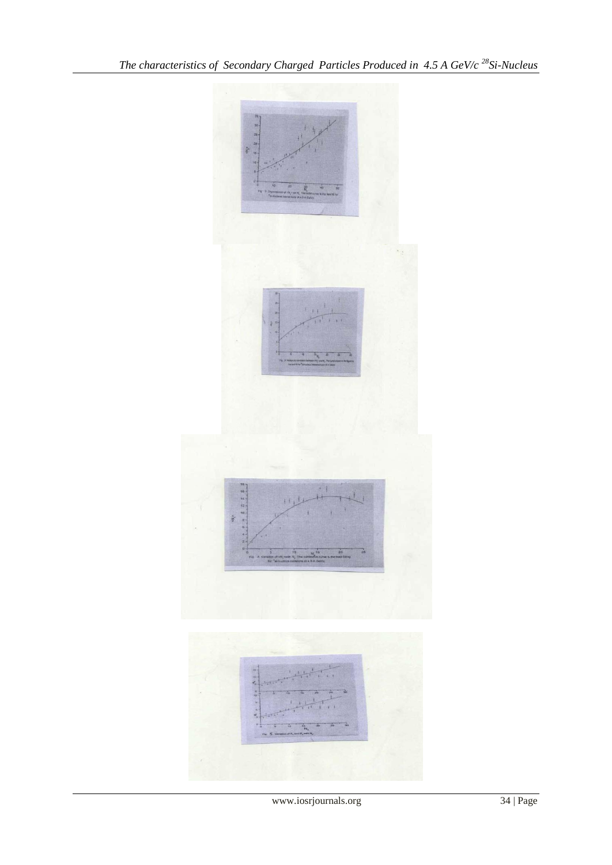